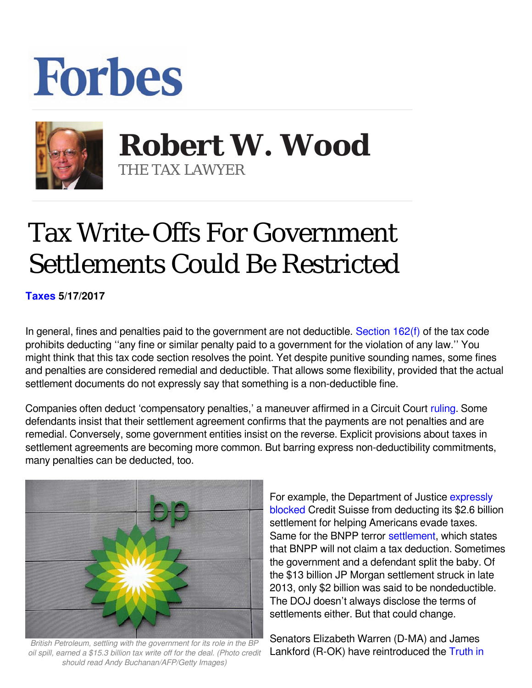## **Forbes**



 **Robert W. Wood** THE TAX LAWYER

## Tax Write-Offs For Government Settlements Could Be Restricted

**[Taxes](https://www.forbes.com/taxes) 5/17/2017** 

In general, fines and penalties paid to the government are not deductible. [Section 162\(f\)](http://www.law.cornell.edu/uscode/text/26/162) of the tax code prohibits deducting ''any fine or similar penalty paid to a government for the violation of any law.'' You might think that this tax code section resolves the point. Yet despite punitive sounding names, some fines and penalties are considered remedial and deductible. That allows some flexibility, provided that the actual settlement documents do not expressly say that something is a non-deductible fine.

Companies often deduct 'compensatory penalties,' a maneuver affirmed in a Circuit Court [ruling.](http://media.ca1.uscourts.gov/pdf.opinions/13-2144P-01A.pdf) Some defendants insist that their settlement agreement confirms that the payments are not penalties and are remedial. Conversely, some government entities insist on the reverse. Explicit provisions about taxes in settlement agreements are becoming more common. But barring express non-deductibility commitments, many penalties can be deducted, too.



*British Petroleum, settling with the government for its role in the BP oil spill, earned a \$15.3 billion tax write off for the deal. (Photo credit should read Andy Buchanan/AFP/Getty Images)*

For example, the Department of Justice [expressly](http://www.uspirg.org/news/usp/taxpayers-win-justice-department-blocks-credit-suisse-tax-write) [blocked](http://www.uspirg.org/news/usp/taxpayers-win-justice-department-blocks-credit-suisse-tax-write) Credit Suisse from deducting its \$2.6 billion settlement for helping Americans evade taxes. Samefor the BNPP terror settlement, which states that BNPP will not claim a tax deduction. Sometimes the government and a defendant split the baby. Of the \$13 billion JP Morgan settlement struck in late 2013, only \$2 billion was said to be nondeductible. The DOJ doesn't always disclose the terms of settlements either. But that could change.

Senators Elizabeth Warren (D-MA) and James Lankford (R-OK) have reintroduced the [Truth in](https://www.warren.senate.gov/files/documents/Truth%20in%20Settlements%20Act%20Fact%20Sheet%202014.pdf)